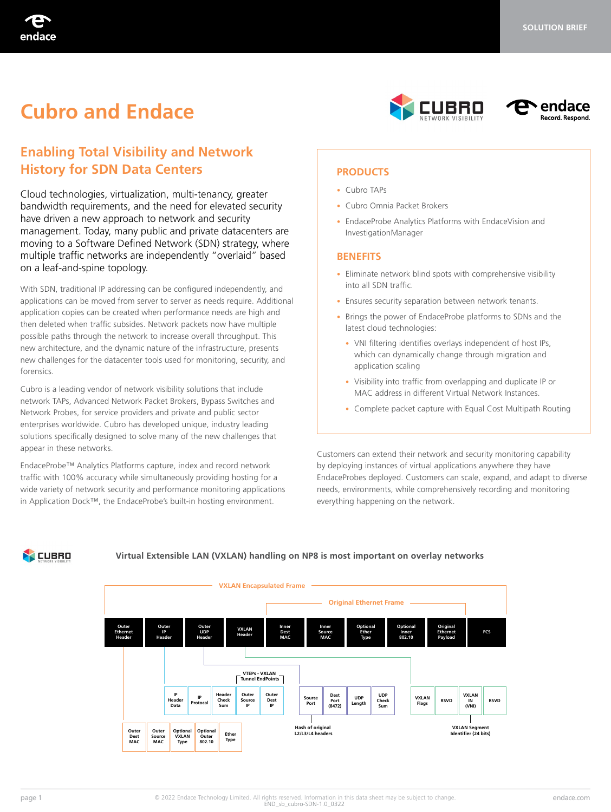# **Cubro and Endace**





# **Enabling Total Visibility and Network History for SDN Data Centers**

Cloud technologies, virtualization, multi-tenancy, greater bandwidth requirements, and the need for elevated security have driven a new approach to network and security management. Today, many public and private datacenters are moving to a Software Defined Network (SDN) strategy, where multiple traffic networks are independently "overlaid" based on a leaf-and-spine topology.

With SDN, traditional IP addressing can be configured independently, and applications can be moved from server to server as needs require. Additional application copies can be created when performance needs are high and then deleted when traffic subsides. Network packets now have multiple possible paths through the network to increase overall throughput. This new architecture, and the dynamic nature of the infrastructure, presents new challenges for the datacenter tools used for monitoring, security, and forensics.

Cubro is a leading vendor of network visibility solutions that include network TAPs, Advanced Network Packet Brokers, Bypass Switches and Network Probes, for service providers and private and public sector enterprises worldwide. Cubro has developed unique, industry leading solutions specifically designed to solve many of the new challenges that appear in these networks.

EndaceProbe™ Analytics Platforms capture, index and record network traffic with 100% accuracy while simultaneously providing hosting for a wide variety of network security and performance monitoring applications in Application Dock™, the EndaceProbe's built-in hosting environment.

#### **PRODUCTS**

- Cubro TAPs
- Cubro Omnia Packet Brokers
- EndaceProbe Analytics Platforms with EndaceVision and InvestigationManager

#### **BENEFITS**

- Eliminate network blind spots with comprehensive visibility into all SDN traffic.
- Ensures security separation between network tenants.
- Brings the power of EndaceProbe platforms to SDNs and the latest cloud technologies:
	- VNI filtering identifies overlays independent of host IPs, which can dynamically change through migration and application scaling
	- Visibility into traffic from overlapping and duplicate IP or MAC address in different Virtual Network Instances.
	- Complete packet capture with Equal Cost Multipath Routing

Customers can extend their network and security monitoring capability by deploying instances of virtual applications anywhere they have EndaceProbes deployed. Customers can scale, expand, and adapt to diverse needs, environments, while comprehensively recording and monitoring everything happening on the network.



#### **Virtual Extensible LAN (VXLAN) handling on NP8 is most important on overlay networks**